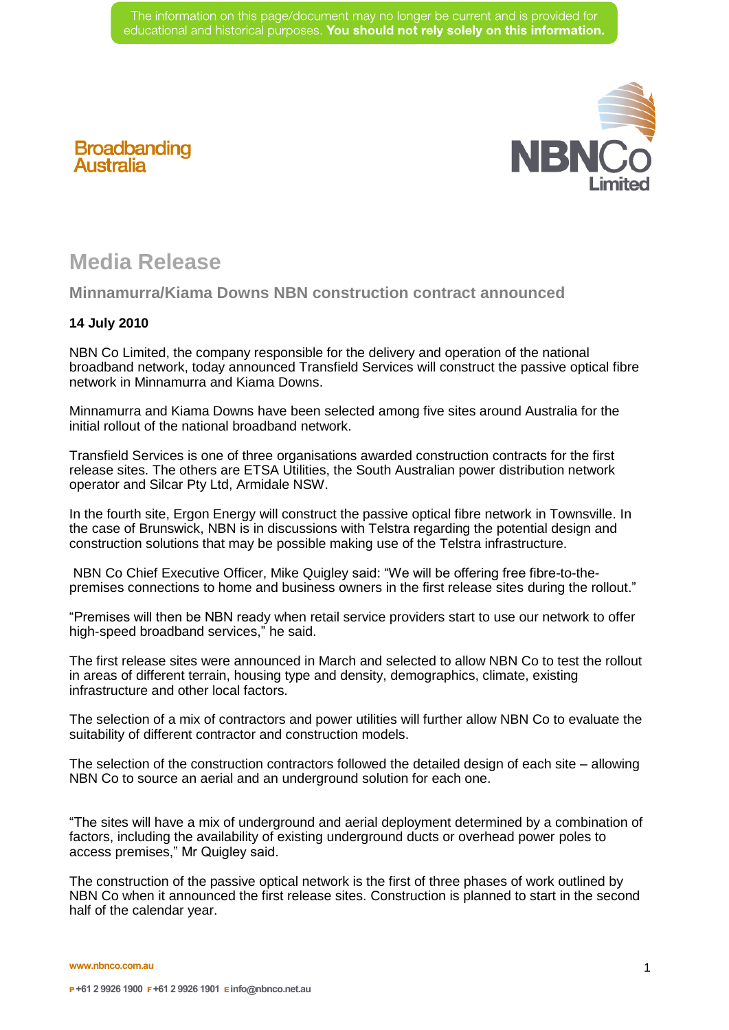

## **Broadbanding Australia**

## **Media Release**

## **Minnamurra/Kiama Downs NBN construction contract announced**

## **14 July 2010**

NBN Co Limited, the company responsible for the delivery and operation of the national broadband network, today announced Transfield Services will construct the passive optical fibre network in Minnamurra and Kiama Downs.

Minnamurra and Kiama Downs have been selected among five sites around Australia for the initial rollout of the national broadband network.

Transfield Services is one of three organisations awarded construction contracts for the first release sites. The others are ETSA Utilities, the South Australian power distribution network operator and Silcar Pty Ltd, Armidale NSW.

In the fourth site, Ergon Energy will construct the passive optical fibre network in Townsville. In the case of Brunswick, NBN is in discussions with Telstra regarding the potential design and construction solutions that may be possible making use of the Telstra infrastructure.

 NBN Co Chief Executive Officer, Mike Quigley said: "We will be offering free fibre-to-thepremises connections to home and business owners in the first release sites during the rollout."

"Premises will then be NBN ready when retail service providers start to use our network to offer high-speed broadband services," he said.

The first release sites were announced in March and selected to allow NBN Co to test the rollout in areas of different terrain, housing type and density, demographics, climate, existing infrastructure and other local factors.

The selection of a mix of contractors and power utilities will further allow NBN Co to evaluate the suitability of different contractor and construction models.

The selection of the construction contractors followed the detailed design of each site – allowing NBN Co to source an aerial and an underground solution for each one.

"The sites will have a mix of underground and aerial deployment determined by a combination of factors, including the availability of existing underground ducts or overhead power poles to access premises," Mr Quigley said.

The construction of the passive optical network is the first of three phases of work outlined by NBN Co when it announced the first release sites. Construction is planned to start in the second half of the calendar year.

**www.nbnco.com.au**